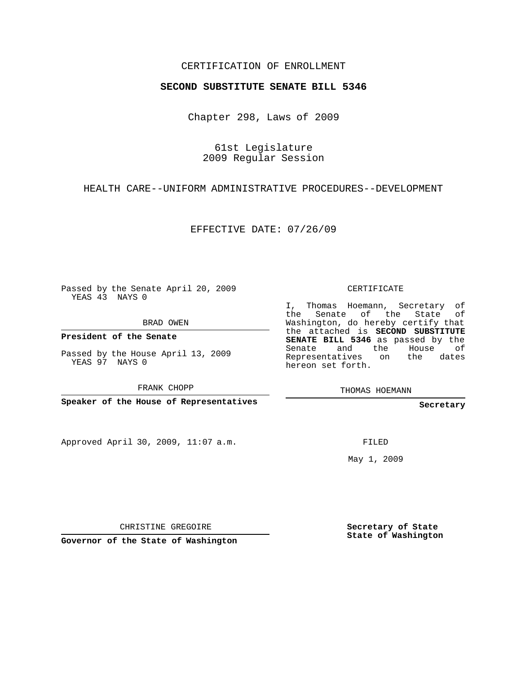## CERTIFICATION OF ENROLLMENT

## **SECOND SUBSTITUTE SENATE BILL 5346**

Chapter 298, Laws of 2009

61st Legislature 2009 Regular Session

HEALTH CARE--UNIFORM ADMINISTRATIVE PROCEDURES--DEVELOPMENT

EFFECTIVE DATE: 07/26/09

Passed by the Senate April 20, 2009 YEAS 43 NAYS 0

BRAD OWEN

**President of the Senate**

Passed by the House April 13, 2009 YEAS 97 NAYS 0

FRANK CHOPP

**Speaker of the House of Representatives**

Approved April 30, 2009, 11:07 a.m.

CERTIFICATE

I, Thomas Hoemann, Secretary of the Senate of the State Washington, do hereby certify that the attached is **SECOND SUBSTITUTE SENATE BILL 5346** as passed by the Senate and the House of Representatives on the dates hereon set forth.

THOMAS HOEMANN

**Secretary**

FILED

May 1, 2009

CHRISTINE GREGOIRE

**Governor of the State of Washington**

**Secretary of State State of Washington**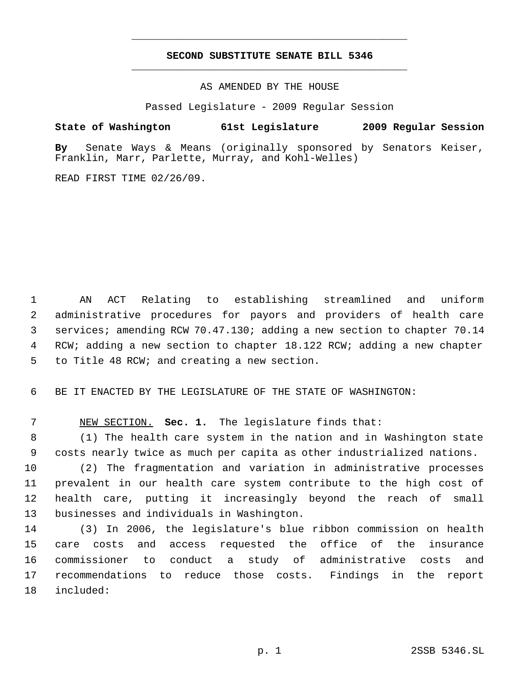## **SECOND SUBSTITUTE SENATE BILL 5346** \_\_\_\_\_\_\_\_\_\_\_\_\_\_\_\_\_\_\_\_\_\_\_\_\_\_\_\_\_\_\_\_\_\_\_\_\_\_\_\_\_\_\_\_\_

\_\_\_\_\_\_\_\_\_\_\_\_\_\_\_\_\_\_\_\_\_\_\_\_\_\_\_\_\_\_\_\_\_\_\_\_\_\_\_\_\_\_\_\_\_

AS AMENDED BY THE HOUSE

Passed Legislature - 2009 Regular Session

**State of Washington 61st Legislature 2009 Regular Session**

**By** Senate Ways & Means (originally sponsored by Senators Keiser, Franklin, Marr, Parlette, Murray, and Kohl-Welles)

READ FIRST TIME 02/26/09.

 AN ACT Relating to establishing streamlined and uniform administrative procedures for payors and providers of health care services; amending RCW 70.47.130; adding a new section to chapter 70.14 RCW; adding a new section to chapter 18.122 RCW; adding a new chapter to Title 48 RCW; and creating a new section.

BE IT ENACTED BY THE LEGISLATURE OF THE STATE OF WASHINGTON:

NEW SECTION. **Sec. 1.** The legislature finds that:

 (1) The health care system in the nation and in Washington state costs nearly twice as much per capita as other industrialized nations.

 (2) The fragmentation and variation in administrative processes prevalent in our health care system contribute to the high cost of health care, putting it increasingly beyond the reach of small businesses and individuals in Washington.

 (3) In 2006, the legislature's blue ribbon commission on health care costs and access requested the office of the insurance commissioner to conduct a study of administrative costs and recommendations to reduce those costs. Findings in the report included: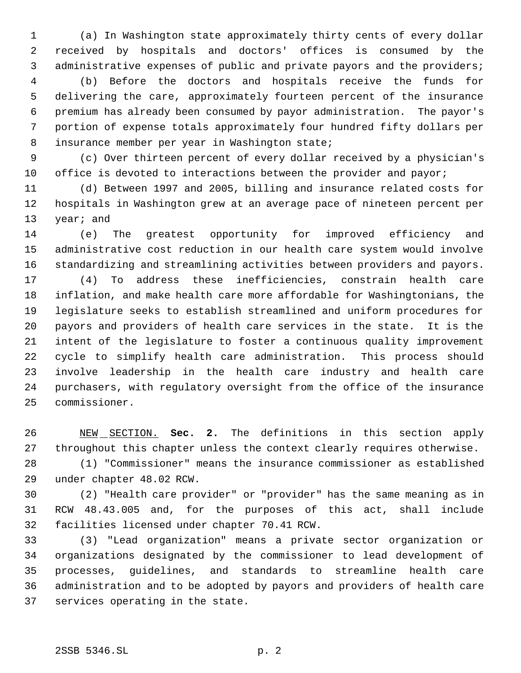(a) In Washington state approximately thirty cents of every dollar received by hospitals and doctors' offices is consumed by the administrative expenses of public and private payors and the providers; (b) Before the doctors and hospitals receive the funds for delivering the care, approximately fourteen percent of the insurance premium has already been consumed by payor administration. The payor's portion of expense totals approximately four hundred fifty dollars per 8 insurance member per year in Washington state;

 (c) Over thirteen percent of every dollar received by a physician's 10 office is devoted to interactions between the provider and payor;

 (d) Between 1997 and 2005, billing and insurance related costs for hospitals in Washington grew at an average pace of nineteen percent per year; and

 (e) The greatest opportunity for improved efficiency and administrative cost reduction in our health care system would involve standardizing and streamlining activities between providers and payors.

 (4) To address these inefficiencies, constrain health care inflation, and make health care more affordable for Washingtonians, the legislature seeks to establish streamlined and uniform procedures for payors and providers of health care services in the state. It is the intent of the legislature to foster a continuous quality improvement cycle to simplify health care administration. This process should involve leadership in the health care industry and health care purchasers, with regulatory oversight from the office of the insurance commissioner.

 NEW SECTION. **Sec. 2.** The definitions in this section apply throughout this chapter unless the context clearly requires otherwise.

 (1) "Commissioner" means the insurance commissioner as established under chapter 48.02 RCW.

 (2) "Health care provider" or "provider" has the same meaning as in RCW 48.43.005 and, for the purposes of this act, shall include facilities licensed under chapter 70.41 RCW.

 (3) "Lead organization" means a private sector organization or organizations designated by the commissioner to lead development of processes, guidelines, and standards to streamline health care administration and to be adopted by payors and providers of health care services operating in the state.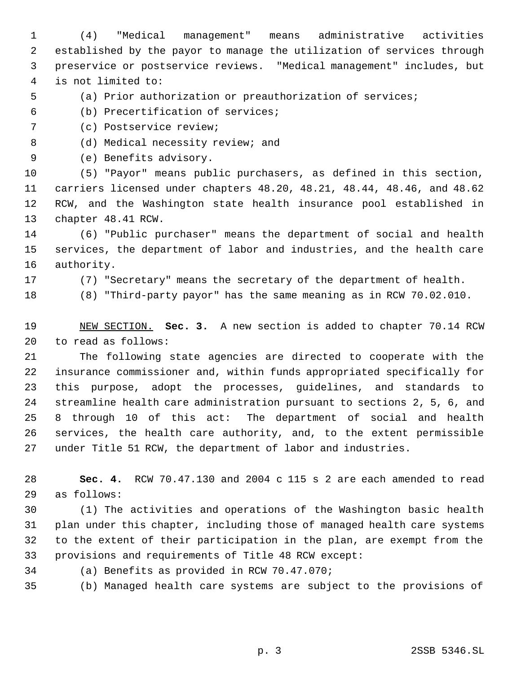(4) "Medical management" means administrative activities established by the payor to manage the utilization of services through preservice or postservice reviews. "Medical management" includes, but is not limited to:

(a) Prior authorization or preauthorization of services;

- (b) Precertification of services;
- (c) Postservice review;

8 (d) Medical necessity review; and

(e) Benefits advisory.

 (5) "Payor" means public purchasers, as defined in this section, carriers licensed under chapters 48.20, 48.21, 48.44, 48.46, and 48.62 RCW, and the Washington state health insurance pool established in chapter 48.41 RCW.

 (6) "Public purchaser" means the department of social and health services, the department of labor and industries, and the health care authority.

(7) "Secretary" means the secretary of the department of health.

(8) "Third-party payor" has the same meaning as in RCW 70.02.010.

 NEW SECTION. **Sec. 3.** A new section is added to chapter 70.14 RCW to read as follows:

 The following state agencies are directed to cooperate with the insurance commissioner and, within funds appropriated specifically for this purpose, adopt the processes, guidelines, and standards to streamline health care administration pursuant to sections 2, 5, 6, and 8 through 10 of this act: The department of social and health services, the health care authority, and, to the extent permissible under Title 51 RCW, the department of labor and industries.

 **Sec. 4.** RCW 70.47.130 and 2004 c 115 s 2 are each amended to read as follows:

 (1) The activities and operations of the Washington basic health plan under this chapter, including those of managed health care systems to the extent of their participation in the plan, are exempt from the provisions and requirements of Title 48 RCW except:

(a) Benefits as provided in RCW 70.47.070;

(b) Managed health care systems are subject to the provisions of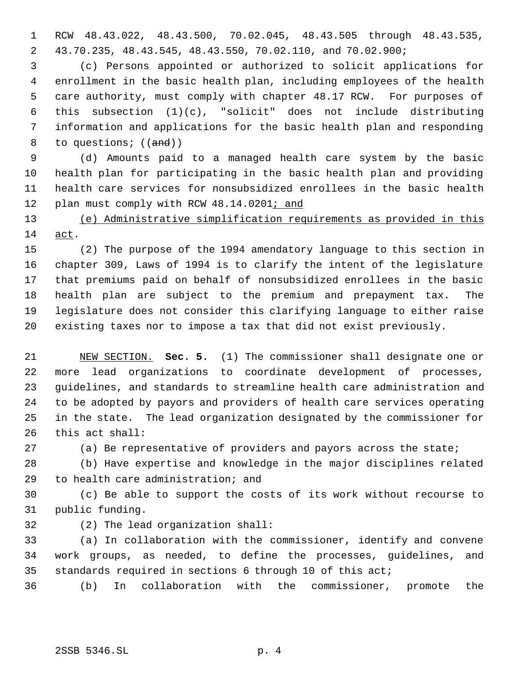RCW 48.43.022, 48.43.500, 70.02.045, 48.43.505 through 48.43.535, 43.70.235, 48.43.545, 48.43.550, 70.02.110, and 70.02.900;

 (c) Persons appointed or authorized to solicit applications for enrollment in the basic health plan, including employees of the health care authority, must comply with chapter 48.17 RCW. For purposes of this subsection (1)(c), "solicit" does not include distributing information and applications for the basic health plan and responding 8 to questions;  $((and))$ 

 (d) Amounts paid to a managed health care system by the basic health plan for participating in the basic health plan and providing health care services for nonsubsidized enrollees in the basic health 12 plan must comply with RCW 48.14.0201; and

 (e) Administrative simplification requirements as provided in this act.

 (2) The purpose of the 1994 amendatory language to this section in chapter 309, Laws of 1994 is to clarify the intent of the legislature that premiums paid on behalf of nonsubsidized enrollees in the basic health plan are subject to the premium and prepayment tax. The legislature does not consider this clarifying language to either raise existing taxes nor to impose a tax that did not exist previously.

 NEW SECTION. **Sec. 5.** (1) The commissioner shall designate one or more lead organizations to coordinate development of processes, guidelines, and standards to streamline health care administration and to be adopted by payors and providers of health care services operating in the state. The lead organization designated by the commissioner for this act shall:

(a) Be representative of providers and payors across the state;

 (b) Have expertise and knowledge in the major disciplines related to health care administration; and

 (c) Be able to support the costs of its work without recourse to public funding.

(2) The lead organization shall:

 (a) In collaboration with the commissioner, identify and convene work groups, as needed, to define the processes, guidelines, and standards required in sections 6 through 10 of this act;

(b) In collaboration with the commissioner, promote the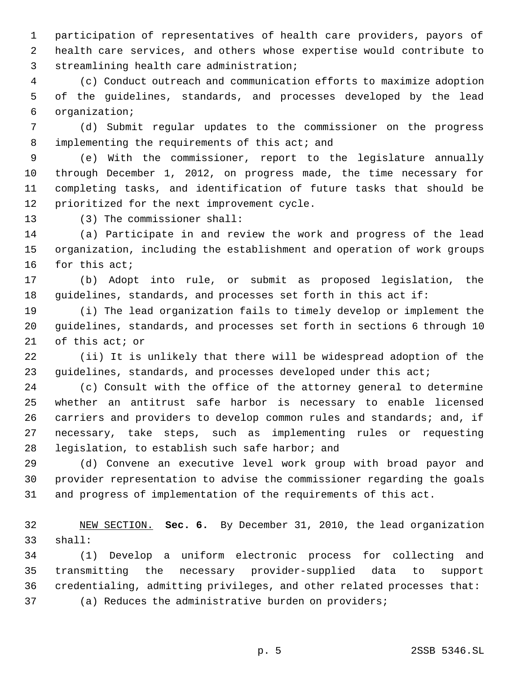participation of representatives of health care providers, payors of health care services, and others whose expertise would contribute to streamlining health care administration;

 (c) Conduct outreach and communication efforts to maximize adoption of the guidelines, standards, and processes developed by the lead organization;

 (d) Submit regular updates to the commissioner on the progress 8 implementing the requirements of this act; and

 (e) With the commissioner, report to the legislature annually through December 1, 2012, on progress made, the time necessary for completing tasks, and identification of future tasks that should be prioritized for the next improvement cycle.

(3) The commissioner shall:

 (a) Participate in and review the work and progress of the lead organization, including the establishment and operation of work groups for this act;

 (b) Adopt into rule, or submit as proposed legislation, the guidelines, standards, and processes set forth in this act if:

 (i) The lead organization fails to timely develop or implement the guidelines, standards, and processes set forth in sections 6 through 10 of this act; or

 (ii) It is unlikely that there will be widespread adoption of the guidelines, standards, and processes developed under this act;

 (c) Consult with the office of the attorney general to determine whether an antitrust safe harbor is necessary to enable licensed carriers and providers to develop common rules and standards; and, if necessary, take steps, such as implementing rules or requesting legislation, to establish such safe harbor; and

 (d) Convene an executive level work group with broad payor and provider representation to advise the commissioner regarding the goals and progress of implementation of the requirements of this act.

 NEW SECTION. **Sec. 6.** By December 31, 2010, the lead organization shall:

 (1) Develop a uniform electronic process for collecting and transmitting the necessary provider-supplied data to support credentialing, admitting privileges, and other related processes that: (a) Reduces the administrative burden on providers;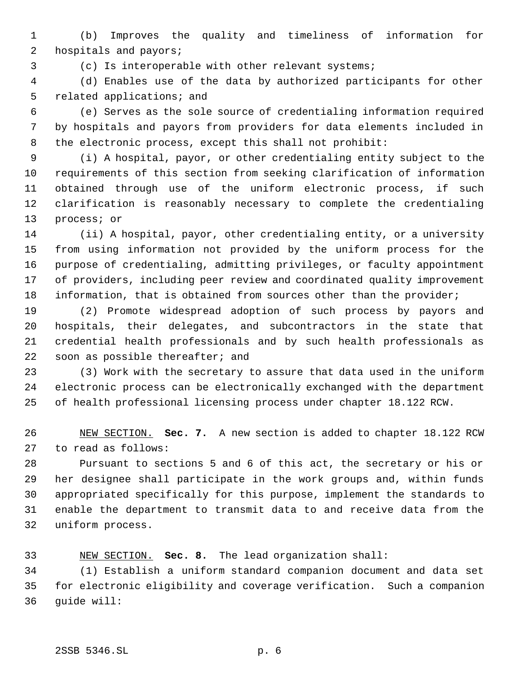(b) Improves the quality and timeliness of information for hospitals and payors;

(c) Is interoperable with other relevant systems;

 (d) Enables use of the data by authorized participants for other related applications; and

 (e) Serves as the sole source of credentialing information required by hospitals and payors from providers for data elements included in the electronic process, except this shall not prohibit:

 (i) A hospital, payor, or other credentialing entity subject to the requirements of this section from seeking clarification of information obtained through use of the uniform electronic process, if such clarification is reasonably necessary to complete the credentialing process; or

 (ii) A hospital, payor, other credentialing entity, or a university from using information not provided by the uniform process for the purpose of credentialing, admitting privileges, or faculty appointment of providers, including peer review and coordinated quality improvement information, that is obtained from sources other than the provider;

 (2) Promote widespread adoption of such process by payors and hospitals, their delegates, and subcontractors in the state that credential health professionals and by such health professionals as soon as possible thereafter; and

 (3) Work with the secretary to assure that data used in the uniform electronic process can be electronically exchanged with the department of health professional licensing process under chapter 18.122 RCW.

 NEW SECTION. **Sec. 7.** A new section is added to chapter 18.122 RCW to read as follows:

 Pursuant to sections 5 and 6 of this act, the secretary or his or her designee shall participate in the work groups and, within funds appropriated specifically for this purpose, implement the standards to enable the department to transmit data to and receive data from the uniform process.

NEW SECTION. **Sec. 8.** The lead organization shall:

 (1) Establish a uniform standard companion document and data set for electronic eligibility and coverage verification. Such a companion guide will: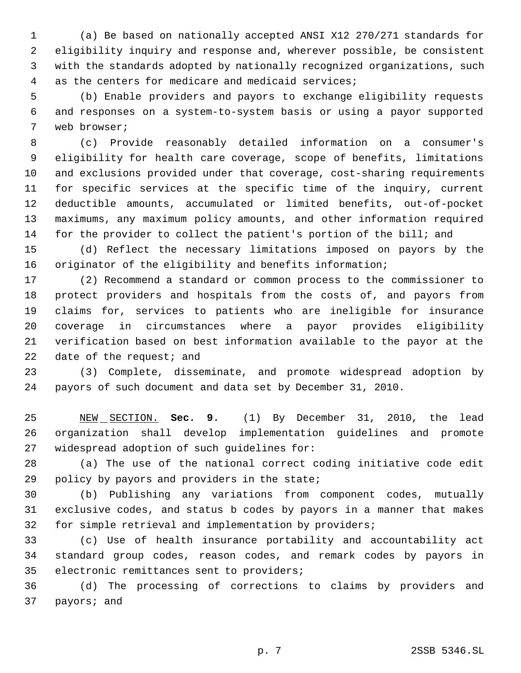(a) Be based on nationally accepted ANSI X12 270/271 standards for eligibility inquiry and response and, wherever possible, be consistent with the standards adopted by nationally recognized organizations, such as the centers for medicare and medicaid services;

 (b) Enable providers and payors to exchange eligibility requests and responses on a system-to-system basis or using a payor supported web browser;

 (c) Provide reasonably detailed information on a consumer's eligibility for health care coverage, scope of benefits, limitations and exclusions provided under that coverage, cost-sharing requirements for specific services at the specific time of the inquiry, current deductible amounts, accumulated or limited benefits, out-of-pocket maximums, any maximum policy amounts, and other information required 14 for the provider to collect the patient's portion of the bill; and

 (d) Reflect the necessary limitations imposed on payors by the originator of the eligibility and benefits information;

 (2) Recommend a standard or common process to the commissioner to protect providers and hospitals from the costs of, and payors from claims for, services to patients who are ineligible for insurance coverage in circumstances where a payor provides eligibility verification based on best information available to the payor at the 22 date of the request; and

 (3) Complete, disseminate, and promote widespread adoption by payors of such document and data set by December 31, 2010.

 NEW SECTION. **Sec. 9.** (1) By December 31, 2010, the lead organization shall develop implementation guidelines and promote widespread adoption of such guidelines for:

 (a) The use of the national correct coding initiative code edit policy by payors and providers in the state;

 (b) Publishing any variations from component codes, mutually exclusive codes, and status b codes by payors in a manner that makes for simple retrieval and implementation by providers;

 (c) Use of health insurance portability and accountability act standard group codes, reason codes, and remark codes by payors in electronic remittances sent to providers;

 (d) The processing of corrections to claims by providers and payors; and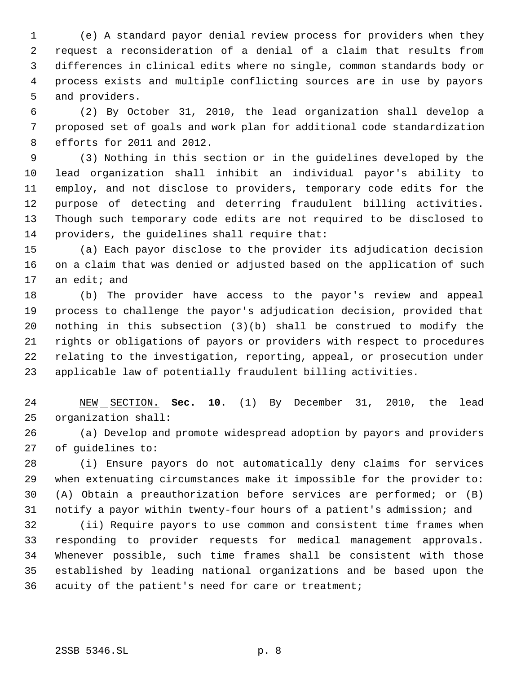(e) A standard payor denial review process for providers when they request a reconsideration of a denial of a claim that results from differences in clinical edits where no single, common standards body or process exists and multiple conflicting sources are in use by payors and providers.

 (2) By October 31, 2010, the lead organization shall develop a proposed set of goals and work plan for additional code standardization efforts for 2011 and 2012.

 (3) Nothing in this section or in the guidelines developed by the lead organization shall inhibit an individual payor's ability to employ, and not disclose to providers, temporary code edits for the purpose of detecting and deterring fraudulent billing activities. Though such temporary code edits are not required to be disclosed to providers, the guidelines shall require that:

 (a) Each payor disclose to the provider its adjudication decision on a claim that was denied or adjusted based on the application of such an edit; and

 (b) The provider have access to the payor's review and appeal process to challenge the payor's adjudication decision, provided that nothing in this subsection (3)(b) shall be construed to modify the rights or obligations of payors or providers with respect to procedures relating to the investigation, reporting, appeal, or prosecution under applicable law of potentially fraudulent billing activities.

 NEW SECTION. **Sec. 10.** (1) By December 31, 2010, the lead organization shall:

 (a) Develop and promote widespread adoption by payors and providers of guidelines to:

 (i) Ensure payors do not automatically deny claims for services when extenuating circumstances make it impossible for the provider to: (A) Obtain a preauthorization before services are performed; or (B) notify a payor within twenty-four hours of a patient's admission; and

 (ii) Require payors to use common and consistent time frames when responding to provider requests for medical management approvals. Whenever possible, such time frames shall be consistent with those established by leading national organizations and be based upon the acuity of the patient's need for care or treatment;